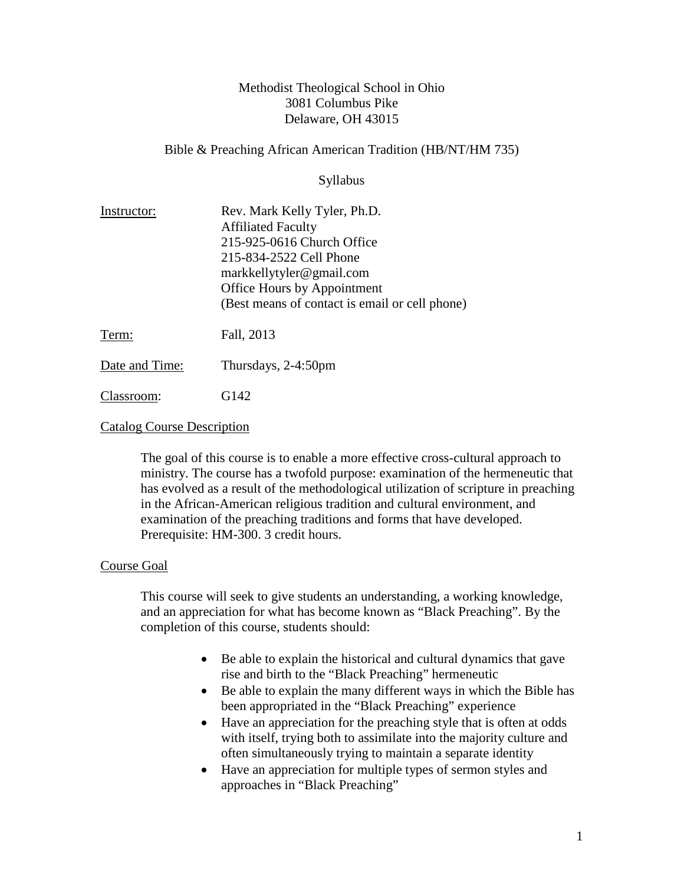### Methodist Theological School in Ohio 3081 Columbus Pike Delaware, OH 43015

### Bible & Preaching African American Tradition (HB/NT/HM 735)

Syllabus

| Instructor: | Rev. Mark Kelly Tyler, Ph.D.                   |
|-------------|------------------------------------------------|
|             | <b>Affiliated Faculty</b>                      |
|             | 215-925-0616 Church Office                     |
|             | 215-834-2522 Cell Phone                        |
|             | markkellytyler@gmail.com                       |
|             | Office Hours by Appointment                    |
|             | (Best means of contact is email or cell phone) |
| Term:       | Fall, 2013                                     |
|             |                                                |

Date and Time: Thursdays, 2-4:50pm

Classroom: G142

#### Catalog Course Description

The goal of this course is to enable a more effective cross-cultural approach to ministry. The course has a twofold purpose: examination of the hermeneutic that has evolved as a result of the methodological utilization of scripture in preaching in the African-American religious tradition and cultural environment, and examination of the preaching traditions and forms that have developed. Prerequisite: HM-300. 3 credit hours.

#### Course Goal

This course will seek to give students an understanding, a working knowledge, and an appreciation for what has become known as "Black Preaching". By the completion of this course, students should:

- Be able to explain the historical and cultural dynamics that gave rise and birth to the "Black Preaching" hermeneutic
- Be able to explain the many different ways in which the Bible has been appropriated in the "Black Preaching" experience
- Have an appreciation for the preaching style that is often at odds with itself, trying both to assimilate into the majority culture and often simultaneously trying to maintain a separate identity
- Have an appreciation for multiple types of sermon styles and approaches in "Black Preaching"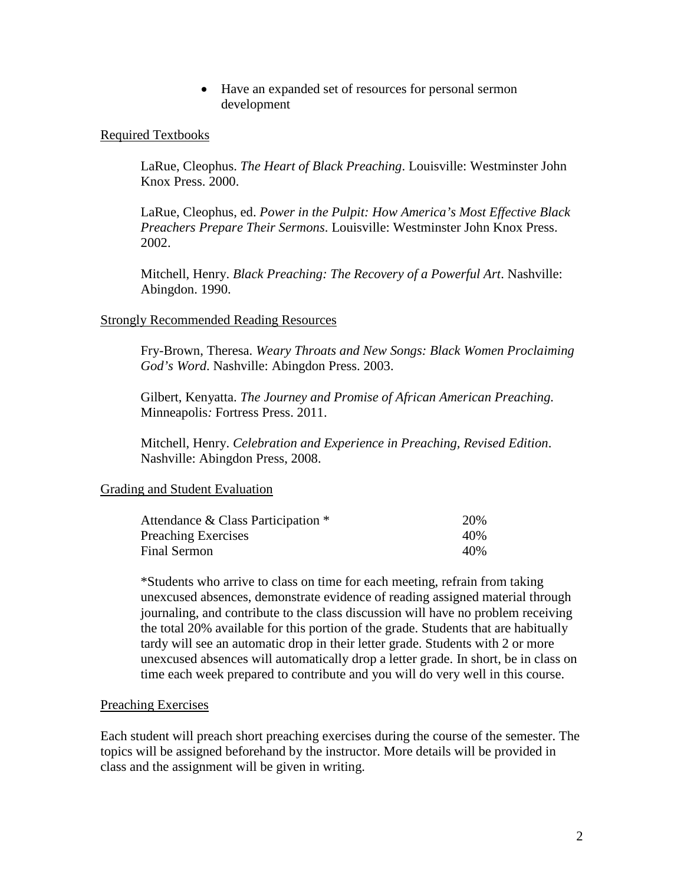• Have an expanded set of resources for personal sermon development

#### Required Textbooks

LaRue, Cleophus. *The Heart of Black Preaching*. Louisville: Westminster John Knox Press. 2000.

LaRue, Cleophus, ed. *Power in the Pulpit: How America's Most Effective Black Preachers Prepare Their Sermons*. Louisville: Westminster John Knox Press. 2002.

Mitchell, Henry. *Black Preaching: The Recovery of a Powerful Art*. Nashville: Abingdon. 1990.

#### Strongly Recommended Reading Resources

Fry-Brown, Theresa. *Weary Throats and New Songs: Black Women Proclaiming God's Word*. Nashville: Abingdon Press. 2003.

Gilbert, Kenyatta. *The Journey and Promise of African American Preaching.*  Minneapolis*:* Fortress Press. 2011.

Mitchell, Henry. *Celebration and Experience in Preaching, Revised Edition*. Nashville: Abingdon Press, 2008.

#### Grading and Student Evaluation

| Attendance & Class Participation * | 20%  |
|------------------------------------|------|
| <b>Preaching Exercises</b>         | 40\% |
| Final Sermon                       | 40\% |

\*Students who arrive to class on time for each meeting, refrain from taking unexcused absences, demonstrate evidence of reading assigned material through journaling, and contribute to the class discussion will have no problem receiving the total 20% available for this portion of the grade. Students that are habitually tardy will see an automatic drop in their letter grade. Students with 2 or more unexcused absences will automatically drop a letter grade. In short, be in class on time each week prepared to contribute and you will do very well in this course.

#### Preaching Exercises

Each student will preach short preaching exercises during the course of the semester. The topics will be assigned beforehand by the instructor. More details will be provided in class and the assignment will be given in writing.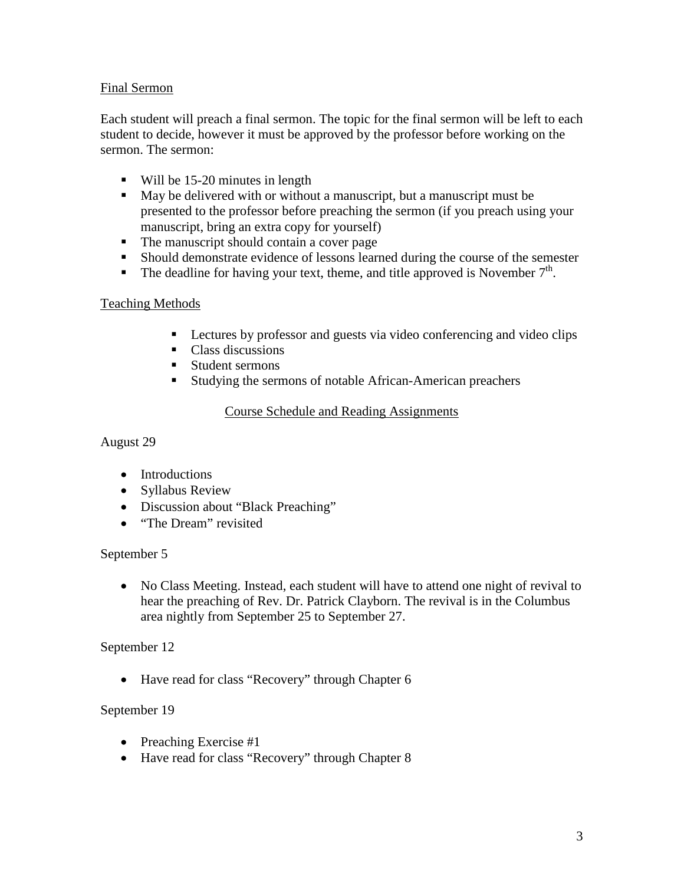### Final Sermon

Each student will preach a final sermon. The topic for the final sermon will be left to each student to decide, however it must be approved by the professor before working on the sermon. The sermon:

- Will be 15-20 minutes in length
- May be delivered with or without a manuscript, but a manuscript must be presented to the professor before preaching the sermon (if you preach using your manuscript, bring an extra copy for yourself)
- The manuscript should contain a cover page
- Should demonstrate evidence of lessons learned during the course of the semester
- The deadline for having your text, theme, and title approved is November  $7<sup>th</sup>$ .

## Teaching Methods

- Lectures by professor and guests via video conferencing and video clips
- Class discussions
- Student sermons
- Studying the sermons of notable African-American preachers

### Course Schedule and Reading Assignments

August 29

- Introductions
- Syllabus Review
- Discussion about "Black Preaching"
- "The Dream" revisited

## September 5

• No Class Meeting. Instead, each student will have to attend one night of revival to hear the preaching of Rev. Dr. Patrick Clayborn. The revival is in the Columbus area nightly from September 25 to September 27.

## September 12

• Have read for class "Recovery" through Chapter 6

## September 19

- Preaching Exercise #1
- Have read for class "Recovery" through Chapter 8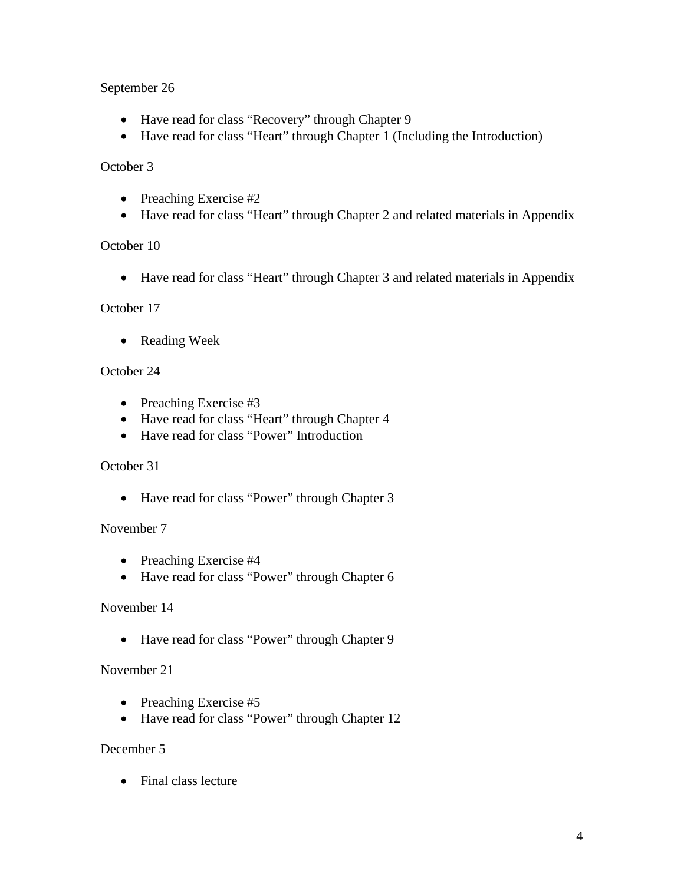## September 26

- Have read for class "Recovery" through Chapter 9
- Have read for class "Heart" through Chapter 1 (Including the Introduction)

## October 3

- Preaching Exercise #2
- Have read for class "Heart" through Chapter 2 and related materials in Appendix

## October 10

• Have read for class "Heart" through Chapter 3 and related materials in Appendix

### October 17

• Reading Week

### October 24

- Preaching Exercise #3
- Have read for class "Heart" through Chapter 4
- Have read for class "Power" Introduction

#### October 31

• Have read for class "Power" through Chapter 3

## November 7

- Preaching Exercise #4
- Have read for class "Power" through Chapter 6

## November 14

• Have read for class "Power" through Chapter 9

## November 21

- Preaching Exercise #5
- Have read for class "Power" through Chapter 12

## December 5

• Final class lecture